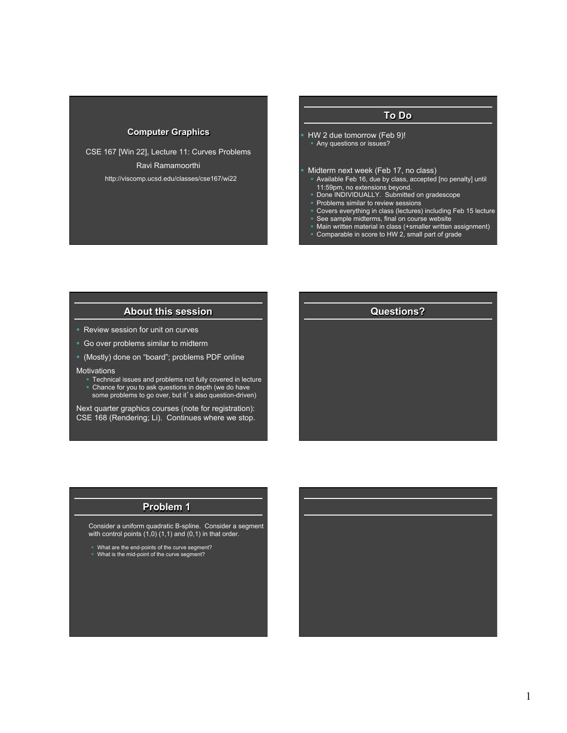# **Computer Graphics**

CSE 167 [Win 22], Lecture 11: Curves Problems Ravi Ramamoorthi http://viscomp.ucsd.edu/classes/cse167/wi22

# **To Do**

§ HW 2 due tomorrow (Feb 9)! § Any questions or issues?

§ Midterm next week (Feb 17, no class)

- Available Feb 16, due by class, accepted [no penalty] until
- 11:59pm, no extensions beyond. § Done INDIVIDUALLY. Submitted on gradescope
- § Problems similar to review sessions
- § Covers everything in class (lectures) including Feb 15 lecture
- See sample midterms, final on course website<br>■ Main written material in class (+smaller written
- Main written material in class (+smaller written assignment)

**Questions?** 

§ Comparable in score to HW 2, small part of grade

### **About this session**

- Review session for unit on curves
- Go over problems similar to midterm
- § (Mostly) done on "board"; problems PDF online

**Motivations** 

- Technical issues and problems not fully covered in lecture
- Chance for you to ask questions in depth (we do have some problems to go over, but it's also question-driven)

Next quarter graphics courses (note for registration): CSE 168 (Rendering; Li). Continues where we stop.

#### **Problem 1**

 Consider a uniform quadratic B-spline. Consider a segment with control points  $(1,0)$   $(1,1)$  and  $(0,1)$  in that order.

§ What are the end-points of the curve segment? § What is the mid-point of the curve segment?

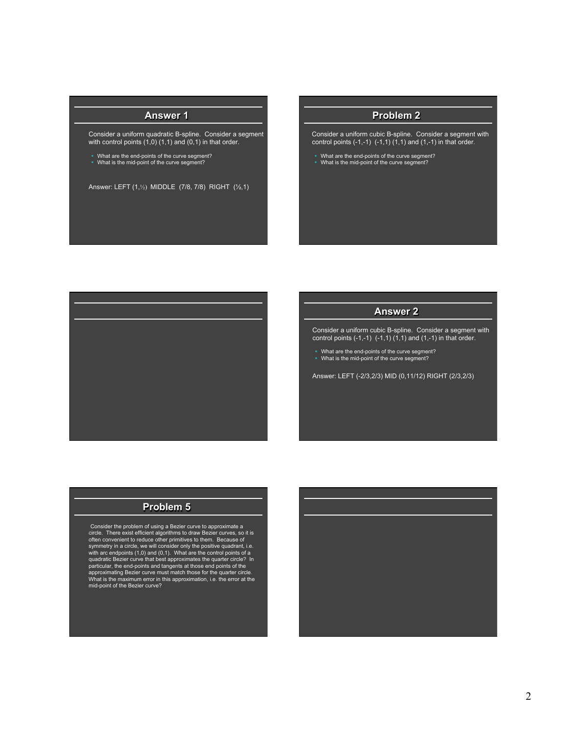# **Answer 1**

 Consider a uniform quadratic B-spline. Consider a segment with control points  $(1,0)$   $(1,1)$  and  $(0,1)$  in that order.

§ What are the end-points of the curve segment? § What is the mid-point of the curve segment?

Answer: LEFT (1,½) MIDDLE (7/8, 7/8) RIGHT (½,1)

#### **Problem 2**

- Consider a uniform cubic B-spline. Consider a segment with control points  $(-1,-1)$   $(-1,1)$   $(1,1)$  and  $(1,-1)$  in that order.
- § What are the end-points of the curve segment? § What is the mid-point of the curve segment?



# **Answer 2**

 Consider a uniform cubic B-spline. Consider a segment with control points  $(-1,-1)$   $(-1,1)$   $(1,1)$  and  $(1,-1)$  in that order.

§ What are the end-points of the curve segment? § What is the mid-point of the curve segment?

Answer: LEFT (-2/3,2/3) MID (0,11/12) RIGHT (2/3,2/3)

### **Problem 5**

 Consider the problem of using a Bezier curve to approximate a circle. There exist efficient algorithms to draw Bezier curves, so it is often convenient to reduce other primitives to them. Because of symmetry in a circle, we will consider only the positive quadrant, i.e. with arc endpoints (1,0) and (0,1). What are the control points of a quadratic Bezier curve that best approximates the quarter circle? In<br>particular, the end-points and tangents at those end points of the<br>approximating Bezier curve must match those for the quarter circle.<br>What is the maximu mid-point of the Bezier curve?